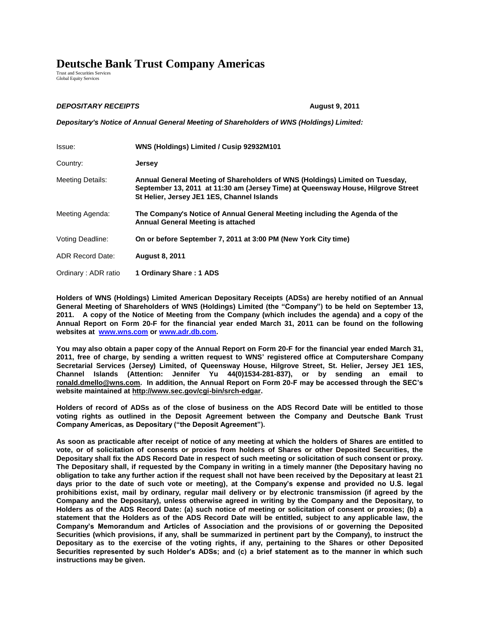## **Deutsche Bank Trust Company Americas**

Trust and Securities Services Global Equity Services

## *DEPOSITARY RECEIPTS* **August 9, 2011**

*Depositary's Notice of Annual General Meeting of Shareholders of WNS (Holdings) Limited:*

| Issue:                  | WNS (Holdings) Limited / Cusip 92932M101                                                                                                                                                                       |
|-------------------------|----------------------------------------------------------------------------------------------------------------------------------------------------------------------------------------------------------------|
| Country:                | <b>Jersey</b>                                                                                                                                                                                                  |
| <b>Meeting Details:</b> | Annual General Meeting of Shareholders of WNS (Holdings) Limited on Tuesday,<br>September 13, 2011 at 11:30 am (Jersey Time) at Queensway House, Hilgrove Street<br>St Helier, Jersey JE1 1ES, Channel Islands |
| Meeting Agenda:         | The Company's Notice of Annual General Meeting including the Agenda of the<br><b>Annual General Meeting is attached</b>                                                                                        |
| Voting Deadline:        | On or before September 7, 2011 at 3:00 PM (New York City time)                                                                                                                                                 |
| <b>ADR Record Date:</b> | <b>August 8, 2011</b>                                                                                                                                                                                          |
| Ordinary: ADR ratio     | 1 Ordinary Share: 1 ADS                                                                                                                                                                                        |

**Holders of WNS (Holdings) Limited American Depositary Receipts (ADSs) are hereby notified of an Annual General Meeting of Shareholders of WNS (Holdings) Limited (the "Company") to be held on September 13, 2011. A copy of the Notice of Meeting from the Company (which includes the agenda) and a copy of the Annual Report on Form 20-F for the financial year ended March 31, 2011 can be found on the following websites at [www.wns.com](http://www.wnsgs.com/) or [www.adr.db.com.](http://www.adr.db.com/)** 

**You may also obtain a paper copy of the Annual Report on Form 20-F for the financial year ended March 31, 2011, free of charge, by sending a written request to WNS' registered office at Computershare Company Secretarial Services (Jersey) Limited, of Queensway House, Hilgrove Street, St. Helier, Jersey JE1 1ES, Channel Islands (Attention: Jennifer Yu 44(0)1534-281-837), or by sending an email to ronald.dmello@wns.com. In addition, the Annual Report on Form 20-F may be accessed through the SEC's website maintained at http://www.sec.gov/cgi-bin/srch-edgar.** 

**Holders of record of ADSs as of the close of business on the ADS Record Date will be entitled to those voting rights as outlined in the Deposit Agreement between the Company and Deutsche Bank Trust Company Americas, as Depositary ("the Deposit Agreement").** 

**As soon as practicable after receipt of notice of any meeting at which the holders of Shares are entitled to vote, or of solicitation of consents or proxies from holders of Shares or other Deposited Securities, the Depositary shall fix the ADS Record Date in respect of such meeting or solicitation of such consent or proxy. The Depositary shall, if requested by the Company in writing in a timely manner (the Depositary having no obligation to take any further action if the request shall not have been received by the Depositary at least 21 days prior to the date of such vote or meeting), at the Company's expense and provided no U.S. legal prohibitions exist, mail by ordinary, regular mail delivery or by electronic transmission (if agreed by the Company and the Depositary), unless otherwise agreed in writing by the Company and the Depositary, to Holders as of the ADS Record Date: (a) such notice of meeting or solicitation of consent or proxies; (b) a statement that the Holders as of the ADS Record Date will be entitled, subject to any applicable law, the Company's Memorandum and Articles of Association and the provisions of or governing the Deposited Securities (which provisions, if any, shall be summarized in pertinent part by the Company), to instruct the Depositary as to the exercise of the voting rights, if any, pertaining to the Shares or other Deposited Securities represented by such Holder's ADSs; and (c) a brief statement as to the manner in which such instructions may be given.**